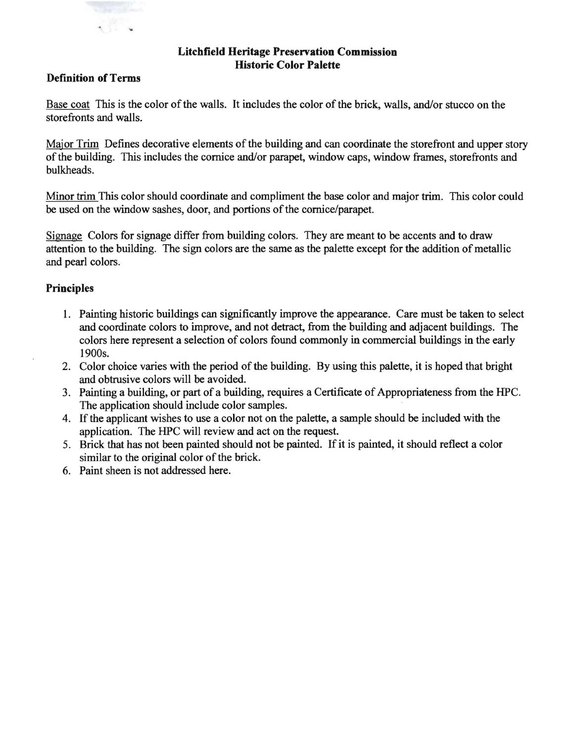

## **Litchfield Heritage Preservation Commission Historic Color Palette**

## **Definition of Terms**

Base coat This is the color of the walls. It includes the color of the brick, walls, and/or stucco on the storefronts and walls.

Major Trim Defines decorative elements of the building and can coordinate the storefront and upper story of the building. This includes the cornice and/or parapet, window caps, window frames, storefronts and bulkheads.

Minor trim This color should coordinate and compliment the base color and major trim. This color could be used on the window sashes, door, and portions of the cornice/parapet.

Signage Colors for signage differ from building colors. They are meant to be accents and to draw attention to the building. The sign colors are the same as the palette except for the addition of metallic and pearl colors.

## **Principles**

- 1. Painting historic buildings can significantly improve the appearance. Care must be taken to select and coordinate colors to improve, and not detract, from the building and adjacent buildings. The colors here represent a selection of colors found commonly in commercial buildings in the early 1900s.
- 2. Color choice varies with the period of the building. By using this palette, it is hoped that bright and obtrusive colors will be avoided.
- 3. Painting a building, or part of a building, requires a Certificate of Appropriateness from the HPC. The application should include color samples.
- 4. If the applicant wishes to use a color not on the palette, a sample should be included with the application. The HPC will review and act on the request.
- 5. Brick that has not been painted should not be painted. If it is painted, it should reflect a color similar to the original color of the brick.
- 6. Paint sheen is not addressed here.